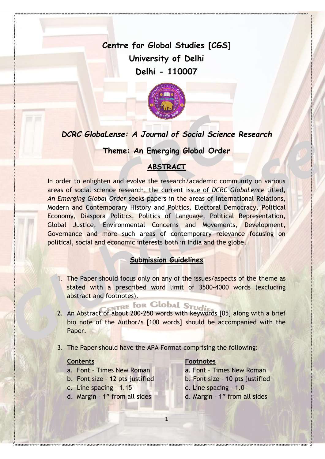**Centre for Global Studies [CGS] University of Delhi Delhi - 110007**



## *DCRC GlobaLense: A Journal of Social Science Research*

## **Theme: An Emerging Global Order**

## **ABSTRACT**

In order to enlighten and evolve the research/academic community on various areas of social science research, the current issue of *DCRC GlobaLence* titled, *An Emerging Global Order* seeks papers in the areas of International Relations, Modern and Contemporary History and Politics, Electoral Democracy, Political Economy, Diaspora Politics, Politics of Language, Political Representation, Global Justice, Environmental Concerns and Movements, Development, Governance and more such areas of contemporary relevance focusing on political, social and economic interests both in India and the globe.

## **Submission Guidelines**

1. The Paper should focus only on any of the issues/aspects of the theme as stated with a prescribed word limit of 3500-4000 words (excluding abstract and footnotes).

# TRE for Global Stud:

- 2. An Abstract of about 200-250 words with keywords [05] along with a brief bio note of the Author/s [100 words] should be accompanied with the Paper.
- 3. The Paper should have the APA Format comprising the following:

1

#### **Contents Footnotes**

- a. Font Times New Roman a. Font Times New Roman
- b. Font size 12 pts justified b. Font size 10 pts justified
- c. Line spacing  $-1.15$  c. Line spacing  $-1.0$
- d. Margin 1" from all sides d. Margin 1" from all sides
- 
- 
- -
	-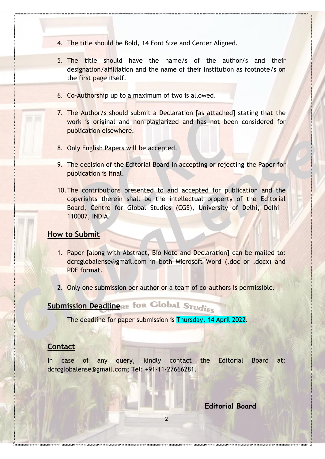- 4. The title should be Bold, 14 Font Size and Center Aligned.
- 5. The title should have the name/s of the author/s and their designation/affiliation and the name of their Institution as footnote/s on the first page itself.
- 6. Co-Authorship up to a maximum of two is allowed.
- 7. The Author/s should submit a Declaration [as attached] stating that the work is original and non-plagiarized and has not been considered for publication elsewhere.
- 8. Only English Papers will be accepted.
- 9. The decision of the Editorial Board in accepting or rejecting the Paper for publication is final.
- 10.The contributions presented to and accepted for publication and the copyrights therein shall be the intellectual property of the Editorial Board, Centre for Global Studies (CGS), University of Delhi, Delhi – 110007, INDIA.

#### **How to Submit**

- 1. Paper [along with Abstract, Bio Note and Declaration] can be mailed to: dcrcglobalense@gmail.com in both Microsoft Word (.doc or .docx) and PDF format.
- 2. Only one submission per author or a team of co-authors is permissible.

# **Submission DeadlineRE FOR Global Studies**

The deadline for paper submission is Thursday, 14 April 2022.

### **Contact**

In case of any query, kindly contact the Editorial Board at: dcrcglobalense@gmail.com; Tel: +91-11-27666281.

**Editorial Board**